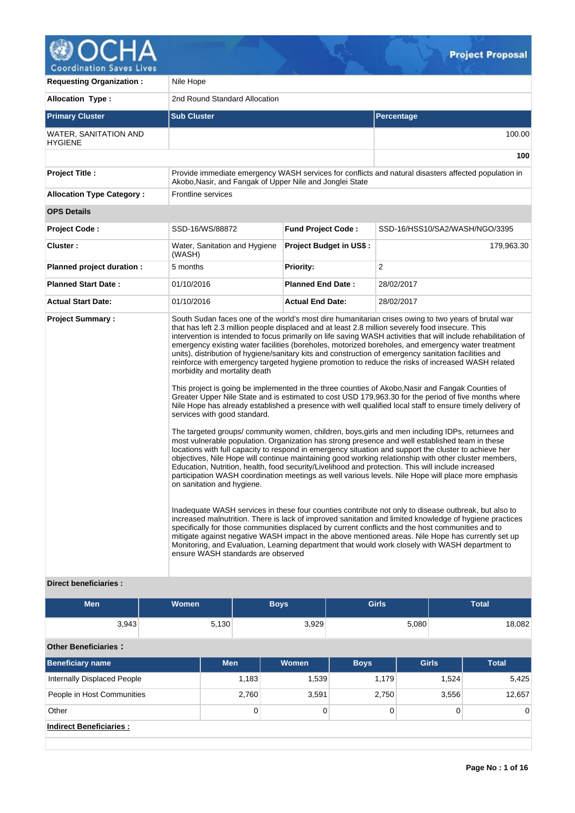

**Coordination Saves Lives Requesting Organization : Nile Hope** 

|                                         | 11101100                                                                                                                                                         |                                |                                                                                                                                                                                                                                                                                                                                                                                                                                                                                                                                                                                                                                                                                                                                                                                                                                                                                                                                                                                                                                                                                                                                                                                                                                                                                                                                                                                                                                                                                                                                                                                                                                                                                                                                                                                                                                                                                                                                                                                                                                                                                                                                                |  |  |  |
|-----------------------------------------|------------------------------------------------------------------------------------------------------------------------------------------------------------------|--------------------------------|------------------------------------------------------------------------------------------------------------------------------------------------------------------------------------------------------------------------------------------------------------------------------------------------------------------------------------------------------------------------------------------------------------------------------------------------------------------------------------------------------------------------------------------------------------------------------------------------------------------------------------------------------------------------------------------------------------------------------------------------------------------------------------------------------------------------------------------------------------------------------------------------------------------------------------------------------------------------------------------------------------------------------------------------------------------------------------------------------------------------------------------------------------------------------------------------------------------------------------------------------------------------------------------------------------------------------------------------------------------------------------------------------------------------------------------------------------------------------------------------------------------------------------------------------------------------------------------------------------------------------------------------------------------------------------------------------------------------------------------------------------------------------------------------------------------------------------------------------------------------------------------------------------------------------------------------------------------------------------------------------------------------------------------------------------------------------------------------------------------------------------------------|--|--|--|
| <b>Allocation Type:</b>                 | 2nd Round Standard Allocation                                                                                                                                    |                                |                                                                                                                                                                                                                                                                                                                                                                                                                                                                                                                                                                                                                                                                                                                                                                                                                                                                                                                                                                                                                                                                                                                                                                                                                                                                                                                                                                                                                                                                                                                                                                                                                                                                                                                                                                                                                                                                                                                                                                                                                                                                                                                                                |  |  |  |
| <b>Primary Cluster</b>                  | <b>Sub Cluster</b>                                                                                                                                               |                                | Percentage                                                                                                                                                                                                                                                                                                                                                                                                                                                                                                                                                                                                                                                                                                                                                                                                                                                                                                                                                                                                                                                                                                                                                                                                                                                                                                                                                                                                                                                                                                                                                                                                                                                                                                                                                                                                                                                                                                                                                                                                                                                                                                                                     |  |  |  |
| WATER, SANITATION AND<br><b>HYGIENE</b> |                                                                                                                                                                  |                                | 100.00                                                                                                                                                                                                                                                                                                                                                                                                                                                                                                                                                                                                                                                                                                                                                                                                                                                                                                                                                                                                                                                                                                                                                                                                                                                                                                                                                                                                                                                                                                                                                                                                                                                                                                                                                                                                                                                                                                                                                                                                                                                                                                                                         |  |  |  |
|                                         |                                                                                                                                                                  |                                | 100                                                                                                                                                                                                                                                                                                                                                                                                                                                                                                                                                                                                                                                                                                                                                                                                                                                                                                                                                                                                                                                                                                                                                                                                                                                                                                                                                                                                                                                                                                                                                                                                                                                                                                                                                                                                                                                                                                                                                                                                                                                                                                                                            |  |  |  |
| <b>Project Title:</b>                   | Provide immediate emergency WASH services for conflicts and natural disasters affected population in<br>Akobo, Nasir, and Fangak of Upper Nile and Jonglei State |                                |                                                                                                                                                                                                                                                                                                                                                                                                                                                                                                                                                                                                                                                                                                                                                                                                                                                                                                                                                                                                                                                                                                                                                                                                                                                                                                                                                                                                                                                                                                                                                                                                                                                                                                                                                                                                                                                                                                                                                                                                                                                                                                                                                |  |  |  |
| <b>Allocation Type Category:</b>        | Frontline services                                                                                                                                               |                                |                                                                                                                                                                                                                                                                                                                                                                                                                                                                                                                                                                                                                                                                                                                                                                                                                                                                                                                                                                                                                                                                                                                                                                                                                                                                                                                                                                                                                                                                                                                                                                                                                                                                                                                                                                                                                                                                                                                                                                                                                                                                                                                                                |  |  |  |
| <b>OPS Details</b>                      |                                                                                                                                                                  |                                |                                                                                                                                                                                                                                                                                                                                                                                                                                                                                                                                                                                                                                                                                                                                                                                                                                                                                                                                                                                                                                                                                                                                                                                                                                                                                                                                                                                                                                                                                                                                                                                                                                                                                                                                                                                                                                                                                                                                                                                                                                                                                                                                                |  |  |  |
| <b>Project Code:</b>                    | SSD-16/WS/88872                                                                                                                                                  | <b>Fund Project Code:</b>      | SSD-16/HSS10/SA2/WASH/NGO/3395                                                                                                                                                                                                                                                                                                                                                                                                                                                                                                                                                                                                                                                                                                                                                                                                                                                                                                                                                                                                                                                                                                                                                                                                                                                                                                                                                                                                                                                                                                                                                                                                                                                                                                                                                                                                                                                                                                                                                                                                                                                                                                                 |  |  |  |
| Cluster:                                | Water, Sanitation and Hygiene<br>(WASH)                                                                                                                          | <b>Project Budget in US\$:</b> | 179,963.30                                                                                                                                                                                                                                                                                                                                                                                                                                                                                                                                                                                                                                                                                                                                                                                                                                                                                                                                                                                                                                                                                                                                                                                                                                                                                                                                                                                                                                                                                                                                                                                                                                                                                                                                                                                                                                                                                                                                                                                                                                                                                                                                     |  |  |  |
| Planned project duration :              | 5 months                                                                                                                                                         | <b>Priority:</b>               | 2                                                                                                                                                                                                                                                                                                                                                                                                                                                                                                                                                                                                                                                                                                                                                                                                                                                                                                                                                                                                                                                                                                                                                                                                                                                                                                                                                                                                                                                                                                                                                                                                                                                                                                                                                                                                                                                                                                                                                                                                                                                                                                                                              |  |  |  |
| <b>Planned Start Date:</b>              | 01/10/2016                                                                                                                                                       | <b>Planned End Date:</b>       | 28/02/2017                                                                                                                                                                                                                                                                                                                                                                                                                                                                                                                                                                                                                                                                                                                                                                                                                                                                                                                                                                                                                                                                                                                                                                                                                                                                                                                                                                                                                                                                                                                                                                                                                                                                                                                                                                                                                                                                                                                                                                                                                                                                                                                                     |  |  |  |
| <b>Actual Start Date:</b>               | 01/10/2016                                                                                                                                                       | <b>Actual End Date:</b>        | 28/02/2017                                                                                                                                                                                                                                                                                                                                                                                                                                                                                                                                                                                                                                                                                                                                                                                                                                                                                                                                                                                                                                                                                                                                                                                                                                                                                                                                                                                                                                                                                                                                                                                                                                                                                                                                                                                                                                                                                                                                                                                                                                                                                                                                     |  |  |  |
| <b>Project Summary:</b>                 | morbidity and mortality death<br>services with good standard.<br>on sanitation and hygiene.<br>ensure WASH standards are observed                                |                                | South Sudan faces one of the world's most dire humanitarian crises owing to two years of brutal war<br>that has left 2.3 million people displaced and at least 2.8 million severely food insecure. This<br>intervention is intended to focus primarily on life saving WASH activities that will include rehabilitation of<br>emergency existing water facilities (boreholes, motorized boreholes, and emergency water treatment<br>units), distribution of hygiene/sanitary kits and construction of emergency sanitation facilities and<br>reinforce with emergency targeted hygiene promotion to reduce the risks of increased WASH related<br>This project is going be implemented in the three counties of Akobo, Nasir and Fangak Counties of<br>Greater Upper Nile State and is estimated to cost USD 179,963.30 for the period of five months where<br>Nile Hope has already established a presence with well qualified local staff to ensure timely delivery of<br>The targeted groups/community women, children, boys, girls and men including IDPs, returnees and<br>most vulnerable population. Organization has strong presence and well established team in these<br>locations with full capacity to respond in emergency situation and support the cluster to achieve her<br>objectives, Nile Hope will continue maintaining good working relationship with other cluster members,<br>Education, Nutrition, health, food security/Livelihood and protection. This will include increased<br>participation WASH coordination meetings as well various levels. Nile Hope will place more emphasis<br>Inadequate WASH services in these four counties contribute not only to disease outbreak, but also to<br>increased malnutrition. There is lack of improved sanitation and limited knowledge of hygiene practices<br>specifically for those communities displaced by current conflicts and the host communities and to<br>mitigate against negative WASH impact in the above mentioned areas. Nile Hope has currently set up<br>Monitoring, and Evaluation, Learning department that would work closely with WASH department to |  |  |  |

# **Direct beneficiaries :**

| <b>Men</b>                         | <b>Women</b> |       | <b>Boys</b> | <b>Girls</b> |              | <b>Total</b>      |  |
|------------------------------------|--------------|-------|-------------|--------------|--------------|-------------------|--|
| 3,943                              | 5,130        |       | 3,929       |              | 5,080        | 18,082            |  |
| <b>Other Beneficiaries:</b>        |              |       |             |              |              |                   |  |
| <b>Beneficiary name</b>            | <b>Men</b>   |       | Women       | <b>Boys</b>  | <b>Girls</b> | <b>Total</b>      |  |
| <b>Internally Displaced People</b> |              | 1,183 | 1,539       | 1,179        | 1,524        | 5,425             |  |
| People in Host Communities         |              | 2,760 | 3,591       | 2,750        | 3,556        | 12,657            |  |
| Other                              |              | 0     | 0           | 0            |              | 0<br>$\mathbf{0}$ |  |
| <b>Indirect Beneficiaries:</b>     |              |       |             |              |              |                   |  |
|                                    |              |       |             |              |              |                   |  |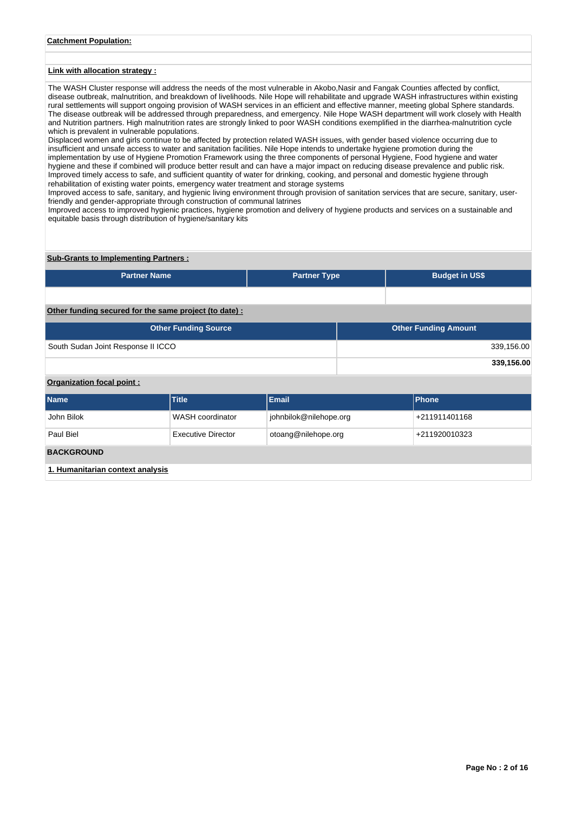# **Catchment Population:**

# **Link with allocation strategy :**

The WASH Cluster response will address the needs of the most vulnerable in Akobo,Nasir and Fangak Counties affected by conflict, disease outbreak, malnutrition, and breakdown of livelihoods. Nile Hope will rehabilitate and upgrade WASH infrastructures within existing rural settlements will support ongoing provision of WASH services in an efficient and effective manner, meeting global Sphere standards. The disease outbreak will be addressed through preparedness, and emergency. Nile Hope WASH department will work closely with Health and Nutrition partners. High malnutrition rates are strongly linked to poor WASH conditions exemplified in the diarrhea-malnutrition cycle which is prevalent in vulnerable populations.

Displaced women and girls continue to be affected by protection related WASH issues, with gender based violence occurring due to insufficient and unsafe access to water and sanitation facilities. Nile Hope intends to undertake hygiene promotion during the implementation by use of Hygiene Promotion Framework using the three components of personal Hygiene, Food hygiene and water hygiene and these if combined will produce better result and can have a major impact on reducing disease prevalence and public risk. Improved timely access to safe, and sufficient quantity of water for drinking, cooking, and personal and domestic hygiene through rehabilitation of existing water points, emergency water treatment and storage systems

Improved access to safe, sanitary, and hygienic living environment through provision of sanitation services that are secure, sanitary, userfriendly and gender-appropriate through construction of communal latrines

Improved access to improved hygienic practices, hygiene promotion and delivery of hygiene products and services on a sustainable and equitable basis through distribution of hygiene/sanitary kits

### **Sub-Grants to Implementing Partners :**

| <b>Partner Name</b>                                   | <b>Partner Type</b> |  | <b>Budget in US\$</b>       |  |  |  |
|-------------------------------------------------------|---------------------|--|-----------------------------|--|--|--|
|                                                       |                     |  |                             |  |  |  |
| Other funding secured for the same project (to date): |                     |  |                             |  |  |  |
| <b>Other Funding Source</b>                           |                     |  | <b>Other Funding Amount</b> |  |  |  |

| South Sudan Joint Response II ICCO | 339,156.00 |
|------------------------------------|------------|
|                                    |            |
|                                    |            |
|                                    | 339,156.00 |
|                                    |            |
|                                    |            |
| <b>Organization focal point:</b>   |            |

| <b>Name</b>                      | <b>Title</b>       | Email                  | <b>Phone</b>  |  |  |  |
|----------------------------------|--------------------|------------------------|---------------|--|--|--|
| John Bilok                       | WASH coordinator   | johnbilok@nilehope.org | +211911401168 |  |  |  |
| Paul Biel                        | Executive Director | otoang@nilehope.org    | +211920010323 |  |  |  |
| <b>BACKGROUND</b>                |                    |                        |               |  |  |  |
| 1. Humanitarian context analysis |                    |                        |               |  |  |  |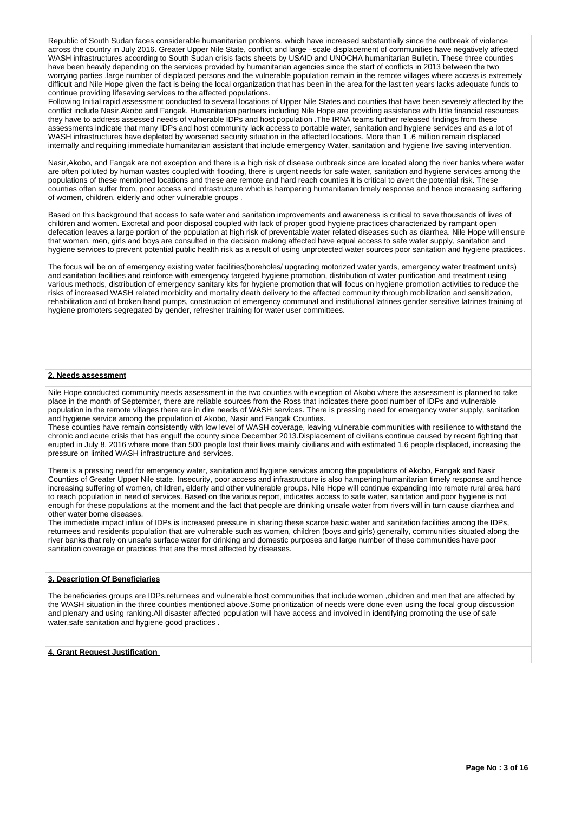Republic of South Sudan faces considerable humanitarian problems, which have increased substantially since the outbreak of violence across the country in July 2016. Greater Upper Nile State, conflict and large –scale displacement of communities have negatively affected WASH infrastructures according to South Sudan crisis facts sheets by USAID and UNOCHA humanitarian Bulletin. These three counties have been heavily depending on the services provided by humanitarian agencies since the start of conflicts in 2013 between the two worrying parties ,large number of displaced persons and the vulnerable population remain in the remote villages where access is extremely difficult and Nile Hope given the fact is being the local organization that has been in the area for the last ten years lacks adequate funds to continue providing lifesaving services to the affected populations.

Following Initial rapid assessment conducted to several locations of Upper Nile States and counties that have been severely affected by the conflict include Nasir,Akobo and Fangak. Humanitarian partners including Nile Hope are providing assistance with little financial resources they have to address assessed needs of vulnerable IDPs and host population .The IRNA teams further released findings from these assessments indicate that many IDPs and host community lack access to portable water, sanitation and hygiene services and as a lot of WASH infrastructures have depleted by worsened security situation in the affected locations. More than 1.6 million remain displaced internally and requiring immediate humanitarian assistant that include emergency Water, sanitation and hygiene live saving intervention.

Nasir,Akobo, and Fangak are not exception and there is a high risk of disease outbreak since are located along the river banks where water are often polluted by human wastes coupled with flooding, there is urgent needs for safe water, sanitation and hygiene services among the populations of these mentioned locations and these are remote and hard reach counties it is critical to avert the potential risk. These counties often suffer from, poor access and infrastructure which is hampering humanitarian timely response and hence increasing suffering of women, children, elderly and other vulnerable groups .

Based on this background that access to safe water and sanitation improvements and awareness is critical to save thousands of lives of children and women. Excretal and poor disposal coupled with lack of proper good hygiene practices characterized by rampant open defecation leaves a large portion of the population at high risk of preventable water related diseases such as diarrhea. Nile Hope will ensure that women, men, girls and boys are consulted in the decision making affected have equal access to safe water supply, sanitation and hygiene services to prevent potential public health risk as a result of using unprotected water sources poor sanitation and hygiene practices.

The focus will be on of emergency existing water facilities(boreholes/ upgrading motorized water yards, emergency water treatment units) and sanitation facilities and reinforce with emergency targeted hygiene promotion, distribution of water purification and treatment using various methods, distribution of emergency sanitary kits for hygiene promotion that will focus on hygiene promotion activities to reduce the risks of increased WASH related morbidity and mortality death delivery to the affected community through mobilization and sensitization, rehabilitation and of broken hand pumps, construction of emergency communal and institutional latrines gender sensitive latrines training of hygiene promoters segregated by gender, refresher training for water user committees.

## **2. Needs assessment**

Nile Hope conducted community needs assessment in the two counties with exception of Akobo where the assessment is planned to take place in the month of September, there are reliable sources from the Ross that indicates there good number of IDPs and vulnerable population in the remote villages there are in dire needs of WASH services. There is pressing need for emergency water supply, sanitation and hygiene service among the population of Akobo, Nasir and Fangak Counties.

These counties have remain consistently with low level of WASH coverage, leaving vulnerable communities with resilience to withstand the chronic and acute crisis that has engulf the county since December 2013.Displacement of civilians continue caused by recent fighting that erupted in July 8, 2016 where more than 500 people lost their lives mainly civilians and with estimated 1.6 people displaced, increasing the pressure on limited WASH infrastructure and services.

There is a pressing need for emergency water, sanitation and hygiene services among the populations of Akobo, Fangak and Nasir Counties of Greater Upper Nile state. Insecurity, poor access and infrastructure is also hampering humanitarian timely response and hence increasing suffering of women, children, elderly and other vulnerable groups. Nile Hope will continue expanding into remote rural area hard to reach population in need of services. Based on the various report, indicates access to safe water, sanitation and poor hygiene is not enough for these populations at the moment and the fact that people are drinking unsafe water from rivers will in turn cause diarrhea and other water borne diseases.

The immediate impact influx of IDPs is increased pressure in sharing these scarce basic water and sanitation facilities among the IDPs, returnees and residents population that are vulnerable such as women, children (boys and girls) generally, communities situated along the river banks that rely on unsafe surface water for drinking and domestic purposes and large number of these communities have poor sanitation coverage or practices that are the most affected by diseases.

## **3. Description Of Beneficiaries**

The beneficiaries groups are IDPs,returnees and vulnerable host communities that include women ,children and men that are affected by the WASH situation in the three counties mentioned above.Some prioritization of needs were done even using the focal group discussion and plenary and using ranking.All disaster affected population will have access and involved in identifying promoting the use of safe water,safe sanitation and hygiene good practices .

### **4. Grant Request Justification**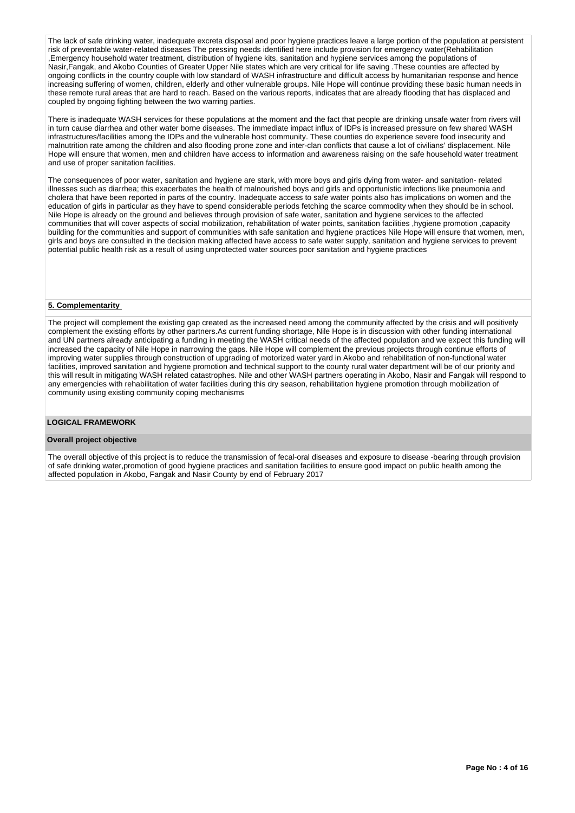The lack of safe drinking water, inadequate excreta disposal and poor hygiene practices leave a large portion of the population at persistent risk of preventable water-related diseases The pressing needs identified here include provision for emergency water(Rehabilitation ,Emergency household water treatment, distribution of hygiene kits, sanitation and hygiene services among the populations of Nasir,Fangak, and Akobo Counties of Greater Upper Nile states which are very critical for life saving .These counties are affected by ongoing conflicts in the country couple with low standard of WASH infrastructure and difficult access by humanitarian response and hence increasing suffering of women, children, elderly and other vulnerable groups. Nile Hope will continue providing these basic human needs in these remote rural areas that are hard to reach. Based on the various reports, indicates that are already flooding that has displaced and coupled by ongoing fighting between the two warring parties.

There is inadequate WASH services for these populations at the moment and the fact that people are drinking unsafe water from rivers will in turn cause diarrhea and other water borne diseases. The immediate impact influx of IDPs is increased pressure on few shared WASH infrastructures/facilities among the IDPs and the vulnerable host community. These counties do experience severe food insecurity and malnutrition rate among the children and also flooding prone zone and inter-clan conflicts that cause a lot of civilians' displacement. Nile Hope will ensure that women, men and children have access to information and awareness raising on the safe household water treatment and use of proper sanitation facilities.

The consequences of poor water, sanitation and hygiene are stark, with more boys and girls dying from water- and sanitation- related illnesses such as diarrhea; this exacerbates the health of malnourished boys and girls and opportunistic infections like pneumonia and cholera that have been reported in parts of the country. Inadequate access to safe water points also has implications on women and the education of girls in particular as they have to spend considerable periods fetching the scarce commodity when they should be in school. Nile Hope is already on the ground and believes through provision of safe water, sanitation and hygiene services to the affected communities that will cover aspects of social mobilization, rehabilitation of water points, sanitation facilities ,hygiene promotion ,capacity building for the communities and support of communities with safe sanitation and hygiene practices Nile Hope will ensure that women, men, girls and boys are consulted in the decision making affected have access to safe water supply, sanitation and hygiene services to prevent potential public health risk as a result of using unprotected water sources poor sanitation and hygiene practices

#### **5. Complementarity**

The project will complement the existing gap created as the increased need among the community affected by the crisis and will positively complement the existing efforts by other partners.As current funding shortage, Nile Hope is in discussion with other funding international and UN partners already anticipating a funding in meeting the WASH critical needs of the affected population and we expect this funding will increased the capacity of Nile Hope in narrowing the gaps. Nile Hope will complement the previous projects through continue efforts of improving water supplies through construction of upgrading of motorized water yard in Akobo and rehabilitation of non-functional water facilities, improved sanitation and hygiene promotion and technical support to the county rural water department will be of our priority and this will result in mitigating WASH related catastrophes. Nile and other WASH partners operating in Akobo, Nasir and Fangak will respond to any emergencies with rehabilitation of water facilities during this dry season, rehabilitation hygiene promotion through mobilization of community using existing community coping mechanisms

#### **LOGICAL FRAMEWORK**

## **Overall project objective**

The overall objective of this project is to reduce the transmission of fecal-oral diseases and exposure to disease -bearing through provision of safe drinking water,promotion of good hygiene practices and sanitation facilities to ensure good impact on public health among the affected population in Akobo, Fangak and Nasir County by end of February 2017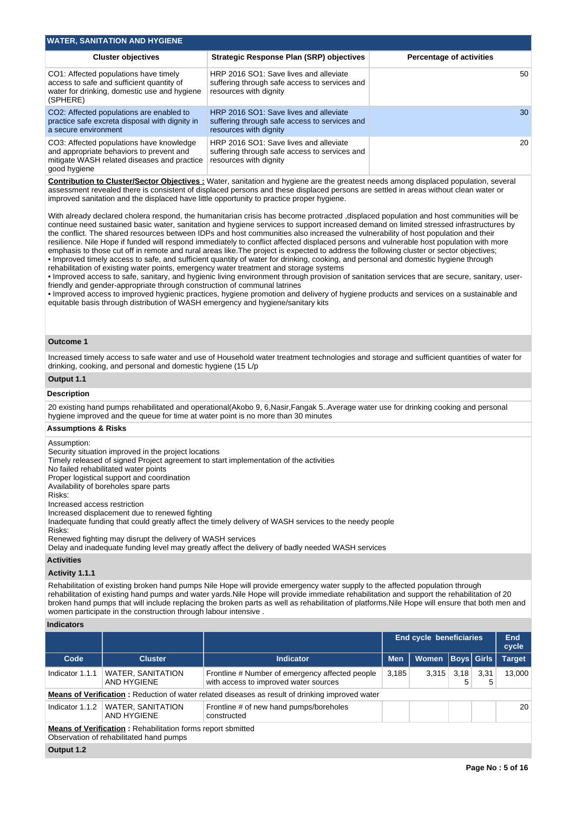| <b>WATER, SANITATION AND HYGIENE</b>                                                                                                                |                                                                                                                   |                                 |  |  |  |  |  |
|-----------------------------------------------------------------------------------------------------------------------------------------------------|-------------------------------------------------------------------------------------------------------------------|---------------------------------|--|--|--|--|--|
| <b>Cluster objectives</b>                                                                                                                           | <b>Strategic Response Plan (SRP) objectives</b>                                                                   | <b>Percentage of activities</b> |  |  |  |  |  |
| CO1: Affected populations have timely<br>access to safe and sufficient quantity of<br>water for drinking, domestic use and hygiene<br>(SPHERE)      | HRP 2016 SO1: Save lives and alleviate<br>suffering through safe access to services and<br>resources with dignity | 50                              |  |  |  |  |  |
| CO2: Affected populations are enabled to<br>practice safe excreta disposal with dignity in<br>a secure environment                                  | HRP 2016 SO1: Save lives and alleviate<br>suffering through safe access to services and<br>resources with dignity | 30                              |  |  |  |  |  |
| CO3: Affected populations have knowledge<br>and appropriate behaviors to prevent and<br>mitigate WASH related diseases and practice<br>good hygiene | HRP 2016 SO1: Save lives and alleviate<br>suffering through safe access to services and<br>resources with dignity | 20                              |  |  |  |  |  |

**Contribution to Cluster/Sector Objectives :** Water, sanitation and hygiene are the greatest needs among displaced population, several assessment revealed there is consistent of displaced persons and these displaced persons are settled in areas without clean water or improved sanitation and the displaced have little opportunity to practice proper hygiene.

With already declared cholera respond, the humanitarian crisis has become protracted ,displaced population and host communities will be continue need sustained basic water, sanitation and hygiene services to support increased demand on limited stressed infrastructures by the conflict. The shared resources between IDPs and host communities also increased the vulnerability of host population and their resilience. Nile Hope if funded will respond immediately to conflict affected displaced persons and vulnerable host population with more emphasis to those cut off in remote and rural areas like.The project is expected to address the following cluster or sector objectives; • Improved timely access to safe, and sufficient quantity of water for drinking, cooking, and personal and domestic hygiene through rehabilitation of existing water points, emergency water treatment and storage systems

• Improved access to safe, sanitary, and hygienic living environment through provision of sanitation services that are secure, sanitary, userfriendly and gender-appropriate through construction of communal latrines

• Improved access to improved hygienic practices, hygiene promotion and delivery of hygiene products and services on a sustainable and equitable basis through distribution of WASH emergency and hygiene/sanitary kits

## **Outcome 1**

Increased timely access to safe water and use of Household water treatment technologies and storage and sufficient quantities of water for drinking, cooking, and personal and domestic hygiene (15 L/p

## **Output 1.1**

### **Description**

20 existing hand pumps rehabilitated and operational(Akobo 9, 6,Nasir,Fangak 5..Average water use for drinking cooking and personal hygiene improved and the queue for time at water point is no more than 30 minutes

### **Assumptions & Risks**

Assumption:

Security situation improved in the project locations

Timely released of signed Project agreement to start implementation of the activities

No failed rehabilitated water points

Proper logistical support and coordination Availability of boreholes spare parts

Risks:

Increased access restriction

Increased displacement due to renewed fighting

Inadequate funding that could greatly affect the timely delivery of WASH services to the needy people

Risks:

Renewed fighting may disrupt the delivery of WASH services

Delay and inadequate funding level may greatly affect the delivery of badly needed WASH services

#### **Activities**

## **Activity 1.1.1**

Rehabilitation of existing broken hand pumps Nile Hope will provide emergency water supply to the affected population through rehabilitation of existing hand pumps and water yards.Nile Hope will provide immediate rehabilitation and support the rehabilitation of 20 broken hand pumps that will include replacing the broken parts as well as rehabilitation of platforms.Nile Hope will ensure that both men and women participate in the construction through labour intensive .

#### **Indicators**

|                                                                                                               |                                         |                                                                                          | <b>End cycle beneficiaries</b> |              |           | End<br>cycle      |               |
|---------------------------------------------------------------------------------------------------------------|-----------------------------------------|------------------------------------------------------------------------------------------|--------------------------------|--------------|-----------|-------------------|---------------|
| Code                                                                                                          | <b>Cluster</b>                          | <b>Indicator</b>                                                                         | <b>Men</b>                     | <b>Women</b> |           | <b>Boys Girls</b> | <b>Target</b> |
| Indicator 1.1.1                                                                                               | <b>WATER, SANITATION</b><br>AND HYGIENE | Frontline # Number of emergency affected people<br>with access to improved water sources | 3,185                          | 3.315        | 3.18<br>5 | 3.31<br>5         | 13.000        |
| <b>Means of Verification:</b> Reduction of water related diseases as result of drinking improved water        |                                         |                                                                                          |                                |              |           |                   |               |
| Indicator 1.1.2                                                                                               | <b>WATER, SANITATION</b><br>AND HYGIENE | Frontline # of new hand pumps/boreholes<br>constructed                                   |                                |              |           |                   | 20            |
| <b>Means of Verification:</b> Rehabilitation forms report sbmitted<br>Observation of rehabilitated hand pumps |                                         |                                                                                          |                                |              |           |                   |               |
| Output 1.2                                                                                                    |                                         |                                                                                          |                                |              |           |                   |               |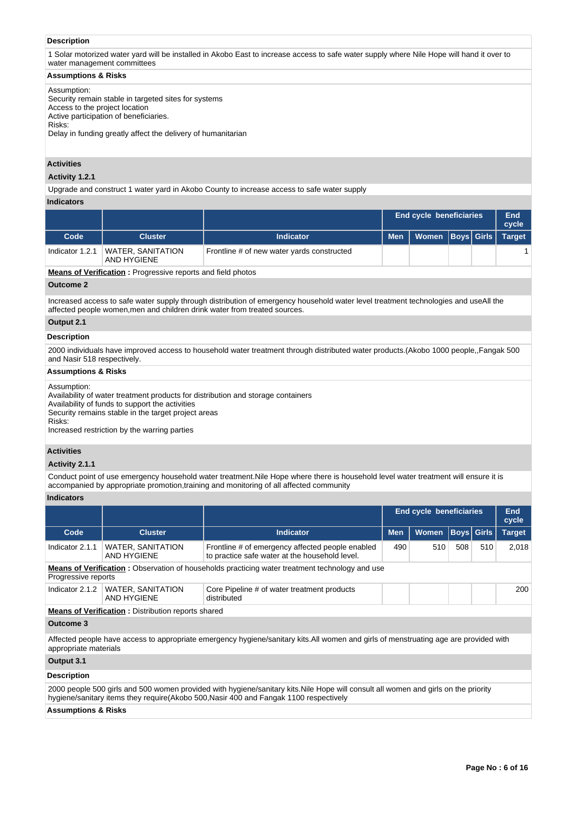## **Description**

1 Solar motorized water yard will be installed in Akobo East to increase access to safe water supply where Nile Hope will hand it over to water management committees

#### **Assumptions & Risks**

Assumption:

Security remain stable in targeted sites for systems Access to the project location Active participation of beneficiaries. Risks: Delay in funding greatly affect the delivery of humanitarian

# **Activities**

#### **Activity 1.2.1**

Upgrade and construct 1 water yard in Akobo County to increase access to safe water supply

## **Indicators**

|                                                           |                                         |                                            | <b>End cycle beneficiaries</b> |                  |  | End<br>cycle |        |
|-----------------------------------------------------------|-----------------------------------------|--------------------------------------------|--------------------------------|------------------|--|--------------|--------|
| Code                                                      | <b>Cluster</b>                          | <b>Indicator</b>                           | <b>Men</b>                     | Nomen Boys Girls |  |              | Target |
| Indicator 1.2.1                                           | <b>WATER, SANITATION</b><br>AND HYGIENE | Frontline # of new water yards constructed |                                |                  |  |              |        |
| Magne of Ventfleether - Dressenbergen and en dield skaten |                                         |                                            |                                |                  |  |              |        |

**Means of Verification :** Progressive reports and field photos

## **Outcome 2**

Increased access to safe water supply through distribution of emergency household water level treatment technologies and useAll the affected people women,men and children drink water from treated sources.

# **Output 2.1**

# **Description**

2000 individuals have improved access to household water treatment through distributed water products.(Akobo 1000 people,,Fangak 500 and Nasir 518 respectively.

## **Assumptions & Risks**

#### Assumption:

Availability of water treatment products for distribution and storage containers

Availability of funds to support the activities Security remains stable in the target project areas

Risks:

Increased restriction by the warring parties

## **Activities**

## **Activity 2.1.1**

Conduct point of use emergency household water treatment.Nile Hope where there is household level water treatment will ensure it is accompanied by appropriate promotion,training and monitoring of all affected community

#### **Indicators**

|                       |                                                                                                                               |                                                                                                                                                                                                                              | <b>End cycle beneficiaries</b> |              |     | End<br>cycle      |               |  |
|-----------------------|-------------------------------------------------------------------------------------------------------------------------------|------------------------------------------------------------------------------------------------------------------------------------------------------------------------------------------------------------------------------|--------------------------------|--------------|-----|-------------------|---------------|--|
| Code                  | <b>Cluster</b>                                                                                                                | <b>Indicator</b>                                                                                                                                                                                                             | <b>Men</b>                     | <b>Women</b> |     | <b>Boys</b> Girls | <b>Target</b> |  |
| Indicator 2.1.1       | <b>WATER, SANITATION</b><br>AND HYGIENE                                                                                       | Frontline # of emergency affected people enabled<br>to practice safe water at the household level.                                                                                                                           | 490                            | 510          | 508 | 510               | 2,018         |  |
|                       | <b>Means of Verification</b> : Observation of households practicing water treatment technology and use<br>Progressive reports |                                                                                                                                                                                                                              |                                |              |     |                   |               |  |
| Indicator 2.1.2       | <b>WATER, SANITATION</b><br>AND HYGIENE                                                                                       | Core Pipeline # of water treatment products<br>distributed                                                                                                                                                                   |                                |              |     |                   | 200           |  |
|                       | <b>Means of Verification:</b> Distribution reports shared                                                                     |                                                                                                                                                                                                                              |                                |              |     |                   |               |  |
| Outcome 3             |                                                                                                                               |                                                                                                                                                                                                                              |                                |              |     |                   |               |  |
| appropriate materials |                                                                                                                               | Affected people have access to appropriate emergency hygiene/sanitary kits. All women and girls of menstruating age are provided with                                                                                        |                                |              |     |                   |               |  |
| Output 3.1            |                                                                                                                               |                                                                                                                                                                                                                              |                                |              |     |                   |               |  |
| <b>Description</b>    |                                                                                                                               |                                                                                                                                                                                                                              |                                |              |     |                   |               |  |
|                       |                                                                                                                               | 2000 people 500 girls and 500 women provided with hygiene/sanitary kits. Nile Hope will consult all women and girls on the priority<br>hygiene/sanitary items they require(Akobo 500, Nasir 400 and Fangak 1100 respectively |                                |              |     |                   |               |  |
|                       |                                                                                                                               |                                                                                                                                                                                                                              |                                |              |     |                   |               |  |

#### **Assumptions & Risks**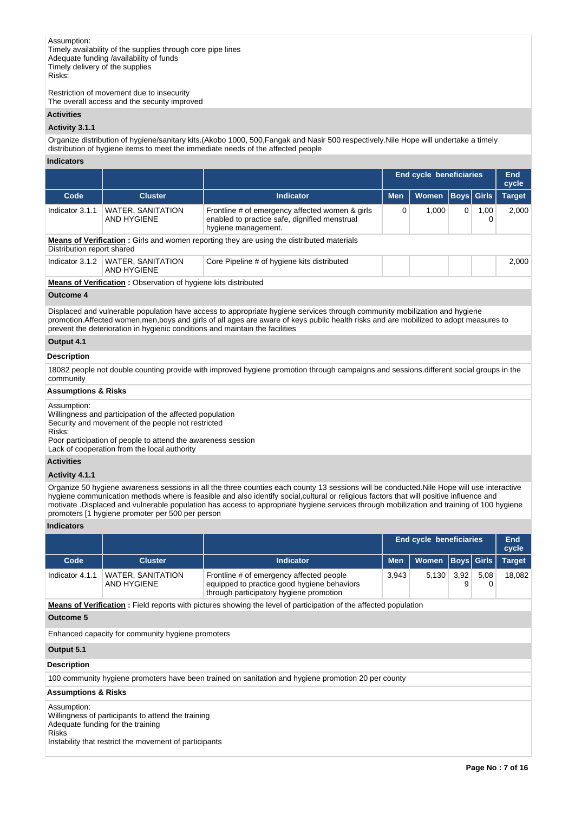Restriction of movement due to insecurity The overall access and the security improved

## **Activities**

#### **Activity 3.1.1**

Organize distribution of hygiene/sanitary kits.(Akobo 1000, 500,Fangak and Nasir 500 respectively.Nile Hope will undertake a timely distribution of hygiene items to meet the immediate needs of the affected people

#### **Indicators**

|                                                                                                                                |                                                                                                                         | <b>End cycle beneficiaries</b> |       |   | End<br>cycle |                   |  |
|--------------------------------------------------------------------------------------------------------------------------------|-------------------------------------------------------------------------------------------------------------------------|--------------------------------|-------|---|--------------|-------------------|--|
| <b>Cluster</b>                                                                                                                 | <b>Indicator</b>                                                                                                        | <b>Men</b>                     | Women |   |              | <b>Target</b>     |  |
| <b>WATER, SANITATION</b><br>AND HYGIENE                                                                                        | Frontline # of emergency affected women & girls<br>enabled to practice safe, dignified menstrual<br>hygiene management. | 0                              | 1.000 | 0 | 1,00         | 2.000             |  |
| <b>Means of Verification:</b> Girls and women reporting they are using the distributed materials<br>Distribution report shared |                                                                                                                         |                                |       |   |              |                   |  |
| <b>WATER, SANITATION</b><br>AND HYGIENE                                                                                        | Core Pipeline # of hygiene kits distributed                                                                             |                                |       |   |              | 2.000             |  |
|                                                                                                                                |                                                                                                                         |                                |       |   |              | <b>Boys</b> Girls |  |

**Means of Verification :** Observation of hygiene kits distributed

## **Outcome 4**

Displaced and vulnerable population have access to appropriate hygiene services through community mobilization and hygiene promotion.Affected women,men,boys and girls of all ages are aware of keys public health risks and are mobilized to adopt measures to prevent the deterioration in hygienic conditions and maintain the facilities

## **Output 4.1**

#### **Description**

18082 people not double counting provide with improved hygiene promotion through campaigns and sessions.different social groups in the community

#### **Assumptions & Risks**

Assumption:

Willingness and participation of the affected population Security and movement of the people not restricted Risks: Poor participation of people to attend the awareness session

Lack of cooperation from the local authority

### **Activities**

### **Activity 4.1.1**

Organize 50 hygiene awareness sessions in all the three counties each county 13 sessions will be conducted.Nile Hope will use interactive hygiene communication methods where is feasible and also identify social,cultural or religious factors that will positive influence and motivate .Displaced and vulnerable population has access to appropriate hygiene services through mobilization and training of 100 hygiene promoters [1 hygiene promoter per 500 per person

## **Indicators**

| Women Boys Girls | <b>Target</b> |
|------------------|---------------|
| 3.92<br>5.130    | 18.082        |
|                  | 5.08          |

**Means of Verification :** Field reports with pictures showing the level of participation of the affected population

#### **Outcome 5**

Enhanced capacity for community hygiene promoters

## **Output 5.1**

#### **Description**

100 community hygiene promoters have been trained on sanitation and hygiene promotion 20 per county

### **Assumptions & Risks**

Assumption: Willingness of participants to attend the training Adequate funding for the training Risks Instability that restrict the movement of participants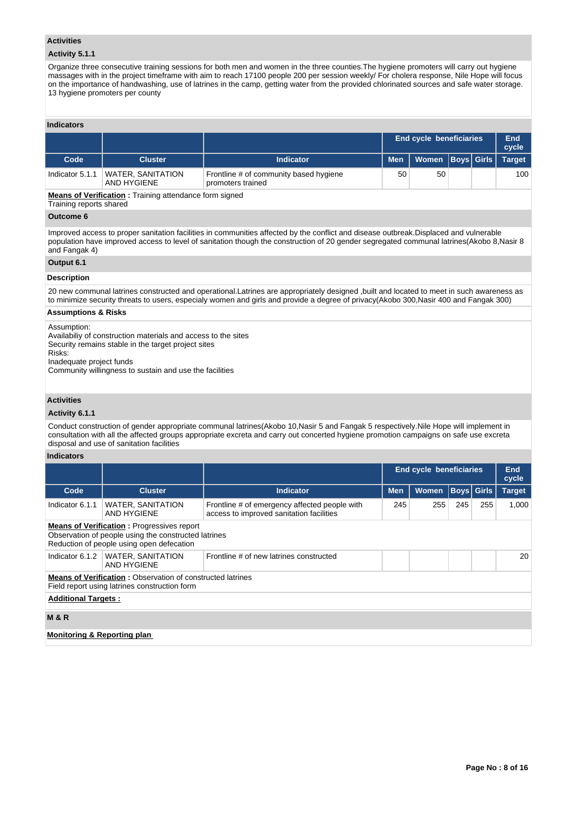### **Activities**

# **Activity 5.1.1**

Organize three consecutive training sessions for both men and women in the three counties.The hygiene promoters will carry out hygiene massages with in the project timeframe with aim to reach 17100 people 200 per session weekly/ For cholera response, Nile Hope will focus on the importance of handwashing, use of latrines in the camp, getting water from the provided chlorinated sources and safe water storage. 13 hygiene promoters per county

# **Indicators**

|                                                                                  |                                  |                                                             | <b>End cycle beneficiaries</b> |                               |  | End<br>cycle |     |
|----------------------------------------------------------------------------------|----------------------------------|-------------------------------------------------------------|--------------------------------|-------------------------------|--|--------------|-----|
| Code                                                                             | <b>Cluster</b>                   | <b>Indicator</b>                                            | <b>Men</b>                     | Women   Boys   Girls   Target |  |              |     |
| Indicator 5.1.1                                                                  | WATER, SANITATION<br>AND HYGIENE | Frontline # of community based hygiene<br>promoters trained | 50                             | 50                            |  |              | 100 |
| - Million of Alliability of the Christian of House for the Christopher of the Ch |                                  |                                                             |                                |                               |  |              |     |

**Means of Verification :** Training attendance form signed

Training reports shared

# **Outcome 6**

Improved access to proper sanitation facilities in communities affected by the conflict and disease outbreak.Displaced and vulnerable population have improved access to level of sanitation though the construction of 20 gender segregated communal latrines(Akobo 8,Nasir 8 and Fangak 4)

## **Output 6.1**

## **Description**

20 new communal latrines constructed and operational.Latrines are appropriately designed ,built and located to meet in such awareness as to minimize security threats to users, especialy women and girls and provide a degree of privacy(Akobo 300,Nasir 400 and Fangak 300)

## **Assumptions & Risks**

#### Assumption:

Availabiliy of construction materials and access to the sites Security remains stable in the target project sites

Risks:

Inadequate project funds

Community willingness to sustain and use the facilities

# **Activities**

## **Activity 6.1.1**

Conduct construction of gender appropriate communal latrines(Akobo 10,Nasir 5 and Fangak 5 respectively.Nile Hope will implement in consultation with all the affected groups appropriate excreta and carry out concerted hygiene promotion campaigns on safe use excreta disposal and use of sanitation facilities

## **Indicators**

|                                                                                                                                                        |                                                                                                                    |                                                                                           | <b>End cycle beneficiaries</b> | End<br>cycle |                   |     |               |  |  |  |  |
|--------------------------------------------------------------------------------------------------------------------------------------------------------|--------------------------------------------------------------------------------------------------------------------|-------------------------------------------------------------------------------------------|--------------------------------|--------------|-------------------|-----|---------------|--|--|--|--|
| Code                                                                                                                                                   | <b>Cluster</b>                                                                                                     | <b>Indicator</b>                                                                          | <b>Men</b>                     | <b>Women</b> | <b>Boys Girls</b> |     | <b>Target</b> |  |  |  |  |
| Indicator 6.1.1                                                                                                                                        | WATER, SANITATION<br>AND HYGIENE                                                                                   | Frontline # of emergency affected people with<br>access to improved sanitation facilities | 245                            | 255          | 245               | 255 | 1,000         |  |  |  |  |
| <b>Means of Verification:</b> Progressives report<br>Observation of people using the constructed latrines<br>Reduction of people using open defecation |                                                                                                                    |                                                                                           |                                |              |                   |     |               |  |  |  |  |
| Indicator 6.1.2                                                                                                                                        | <b>WATER, SANITATION</b><br>AND HYGIENE                                                                            | Frontline # of new latrines constructed                                                   |                                |              |                   |     | 20            |  |  |  |  |
| <b>Additional Targets:</b>                                                                                                                             | <b>Means of Verification:</b> Observation of constructed latrines<br>Field report using latrines construction form |                                                                                           |                                |              |                   |     |               |  |  |  |  |
| <b>M&amp;R</b>                                                                                                                                         |                                                                                                                    |                                                                                           |                                |              |                   |     |               |  |  |  |  |
| <b>Monitoring &amp; Reporting plan</b>                                                                                                                 |                                                                                                                    |                                                                                           |                                |              |                   |     |               |  |  |  |  |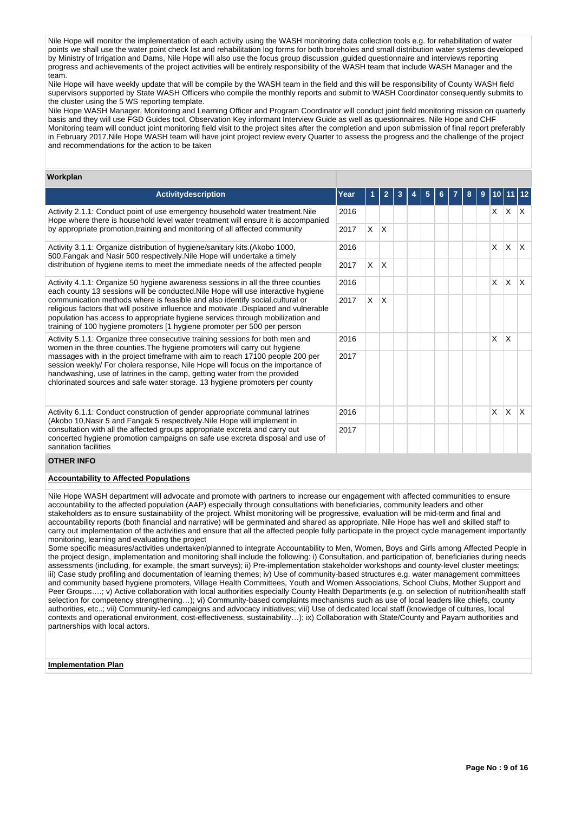Nile Hope will monitor the implementation of each activity using the WASH monitoring data collection tools e.g. for rehabilitation of water points we shall use the water point check list and rehabilitation log forms for both boreholes and small distribution water systems developed by Ministry of Irrigation and Dams, Nile Hope will also use the focus group discussion ,guided questionnaire and interviews reporting progress and achievements of the project activities will be entirely responsibility of the WASH team that include WASH Manager and the team.

Nile Hope will have weekly update that will be compile by the WASH team in the field and this will be responsibility of County WASH field supervisors supported by State WASH Officers who compile the monthly reports and submit to WASH Coordinator consequently submits to the cluster using the 5 WS reporting template.

Nile Hope WASH Manager, Monitoring and Learning Officer and Program Coordinator will conduct joint field monitoring mission on quarterly basis and they will use FGD Guides tool, Observation Key informant Interview Guide as well as questionnaires. Nile Hope and CHF Monitoring team will conduct joint monitoring field visit to the project sites after the completion and upon submission of final report preferably in February 2017.Nile Hope WASH team will have joint project review every Quarter to assess the progress and the challenge of the project and recommendations for the action to be taken

## **Workplan**

| <b>Activitydescription</b>                                                                                                                                                                                                                                                                                                            | Year |              |                         |  | 5 |  | 8 | 9 |   |              |     |
|---------------------------------------------------------------------------------------------------------------------------------------------------------------------------------------------------------------------------------------------------------------------------------------------------------------------------------------|------|--------------|-------------------------|--|---|--|---|---|---|--------------|-----|
| Activity 2.1.1: Conduct point of use emergency household water treatment. Nile<br>Hope where there is household level water treatment will ensure it is accompanied                                                                                                                                                                   | 2016 |              |                         |  |   |  |   |   | X | $X$ $X$      |     |
| by appropriate promotion, training and monitoring of all affected community                                                                                                                                                                                                                                                           | 2017 | $\mathsf{X}$ | $\mathsf{X}$            |  |   |  |   |   |   |              |     |
| Activity 3.1.1: Organize distribution of hygiene/sanitary kits. (Akobo 1000,<br>500, Fangak and Nasir 500 respectively. Nile Hope will undertake a timely                                                                                                                                                                             | 2016 |              |                         |  |   |  |   |   | X | $\mathsf{X}$ | ΙX. |
| distribution of hygiene items to meet the immediate needs of the affected people                                                                                                                                                                                                                                                      | 2017 | X.           | $\mathsf{I} \mathsf{X}$ |  |   |  |   |   |   |              |     |
| Activity 4.1.1: Organize 50 hygiene awareness sessions in all the three counties<br>each county 13 sessions will be conducted. Nile Hope will use interactive hygiene                                                                                                                                                                 | 2016 |              |                         |  |   |  |   |   | X | <b>X</b>     | ΙX. |
| communication methods where is feasible and also identify social, cultural or<br>religious factors that will positive influence and motivate . Displaced and vulnerable<br>population has access to appropriate hygiene services through mobilization and<br>training of 100 hygiene promoters [1 hygiene promoter per 500 per person | 2017 | $\times$     | <sup>X</sup>            |  |   |  |   |   |   |              |     |
| Activity 5.1.1: Organize three consecutive training sessions for both men and<br>women in the three counties. The hygiene promoters will carry out hygiene                                                                                                                                                                            | 2016 |              |                         |  |   |  |   |   | X | X            |     |
| massages with in the project timeframe with aim to reach 17100 people 200 per<br>session weekly/ For cholera response, Nile Hope will focus on the importance of<br>handwashing, use of latrines in the camp, getting water from the provided<br>chlorinated sources and safe water storage. 13 hygiene promoters per county          | 2017 |              |                         |  |   |  |   |   |   |              |     |
| Activity 6.1.1: Conduct construction of gender appropriate communal latrines<br>(Akobo 10, Nasir 5 and Fangak 5 respectively. Nile Hope will implement in                                                                                                                                                                             | 2016 |              |                         |  |   |  |   |   | X | X            | ΙX. |
| consultation with all the affected groups appropriate excreta and carry out<br>concerted hygiene promotion campaigns on safe use excreta disposal and use of<br>sanitation facilities                                                                                                                                                 | 2017 |              |                         |  |   |  |   |   |   |              |     |

### **OTHER INFO**

### **Accountability to Affected Populations**

Nile Hope WASH department will advocate and promote with partners to increase our engagement with affected communities to ensure accountability to the affected population (AAP) especially through consultations with beneficiaries, community leaders and other stakeholders as to ensure sustainability of the project. Whilst monitoring will be progressive, evaluation will be mid-term and final and accountability reports (both financial and narrative) will be germinated and shared as appropriate. Nile Hope has well and skilled staff to carry out implementation of the activities and ensure that all the affected people fully participate in the project cycle management importantly monitoring, learning and evaluating the project

Some specific measures/activities undertaken/planned to integrate Accountability to Men, Women, Boys and Girls among Affected People in the project design, implementation and monitoring shall include the following: i) Consultation, and participation of, beneficiaries during needs assessments (including, for example, the smart surveys); ii) Pre-implementation stakeholder workshops and county-level cluster meetings; iii) Case study profiling and documentation of learning themes; iv) Use of community-based structures e.g. water management committees and community based hygiene promoters, Village Health Committees, Youth and Women Associations, School Clubs, Mother Support and Peer Groups….; v) Active collaboration with local authorities especially County Health Departments (e.g. on selection of nutrition/health staff selection for competency strengthening…); vi) Community-based complaints mechanisms such as use of local leaders like chiefs, county authorities, etc..; vii) Community-led campaigns and advocacy initiatives; viii) Use of dedicated local staff (knowledge of cultures, local contexts and operational environment, cost-effectiveness, sustainability…); ix) Collaboration with State/County and Payam authorities and partnerships with local actors.

#### **Implementation Plan**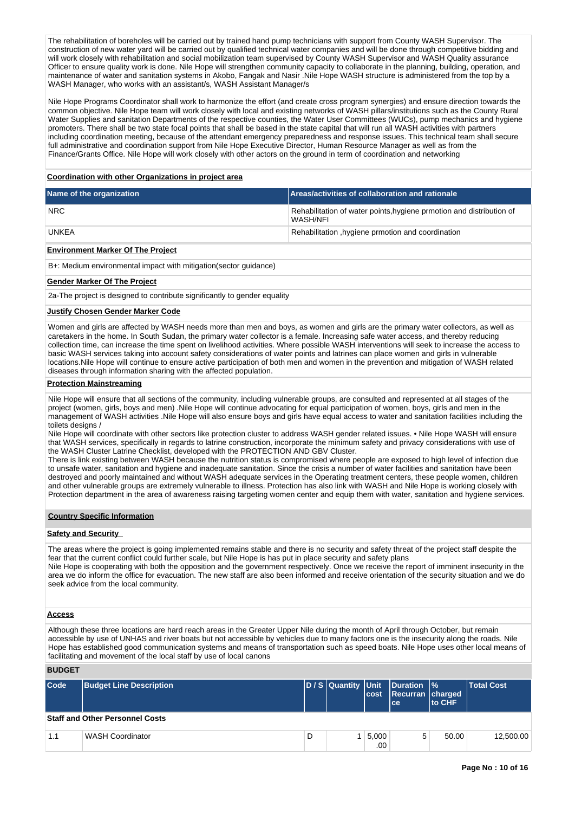The rehabilitation of boreholes will be carried out by trained hand pump technicians with support from County WASH Supervisor. The construction of new water yard will be carried out by qualified technical water companies and will be done through competitive bidding and will work closely with rehabilitation and social mobilization team supervised by County WASH Supervisor and WASH Quality assurance Officer to ensure quality work is done. Nile Hope will strengthen community capacity to collaborate in the planning, building, operation, and maintenance of water and sanitation systems in Akobo, Fangak and Nasir .Nile Hope WASH structure is administered from the top by a WASH Manager, who works with an assistant/s, WASH Assistant Manager/s

Nile Hope Programs Coordinator shall work to harmonize the effort (and create cross program synergies) and ensure direction towards the common objective. Nile Hope team will work closely with local and existing networks of WASH pillars/institutions such as the County Rural Water Supplies and sanitation Departments of the respective counties, the Water User Committees (WUCs), pump mechanics and hygiene promoters. There shall be two state focal points that shall be based in the state capital that will run all WASH activities with partners including coordination meeting, because of the attendant emergency preparedness and response issues. This technical team shall secure full administrative and coordination support from Nile Hope Executive Director, Human Resource Manager as well as from the Finance/Grants Office. Nile Hope will work closely with other actors on the ground in term of coordination and networking

# **Coordination with other Organizations in project area**

| Name of the organization | Areas/activities of collaboration and rationale                                  |
|--------------------------|----------------------------------------------------------------------------------|
| <b>NRC</b>               | Rehabilitation of water points, hygiene prmotion and distribution of<br>WASH/NFI |
| UNKEA                    | Rehabilitation, hygiene prmotion and coordination                                |

## **Environment Marker Of The Project**

B+: Medium environmental impact with mitigation(sector guidance)

#### **Gender Marker Of The Project**

2a-The project is designed to contribute significantly to gender equality

## **Justify Chosen Gender Marker Code**

Women and girls are affected by WASH needs more than men and boys, as women and girls are the primary water collectors, as well as caretakers in the home. In South Sudan, the primary water collector is a female. Increasing safe water access, and thereby reducing collection time, can increase the time spent on livelihood activities. Where possible WASH interventions will seek to increase the access to basic WASH services taking into account safety considerations of water points and latrines can place women and girls in vulnerable locations.Nile Hope will continue to ensure active participation of both men and women in the prevention and mitigation of WASH related diseases through information sharing with the affected population.

#### **Protection Mainstreaming**

Nile Hope will ensure that all sections of the community, including vulnerable groups, are consulted and represented at all stages of the project (women, girls, boys and men) .Nile Hope will continue advocating for equal participation of women, boys, girls and men in the management of WASH activities .Nile Hope will also ensure boys and girls have equal access to water and sanitation facilities including the toilets designs /

Nile Hope will coordinate with other sectors like protection cluster to address WASH gender related issues. • Nile Hope WASH will ensure that WASH services, specifically in regards to latrine construction, incorporate the minimum safety and privacy considerations with use of the WASH Cluster Latrine Checklist, developed with the PROTECTION AND GBV Cluster.

There is link existing between WASH because the nutrition status is compromised where people are exposed to high level of infection due to unsafe water, sanitation and hygiene and inadequate sanitation. Since the crisis a number of water facilities and sanitation have been destroyed and poorly maintained and without WASH adequate services in the Operating treatment centers, these people women, children and other vulnerable groups are extremely vulnerable to illness. Protection has also link with WASH and Nile Hope is working closely with Protection department in the area of awareness raising targeting women center and equip them with water, sanitation and hygiene services.

#### **Country Specific Information**

## **Safety and Security**

The areas where the project is going implemented remains stable and there is no security and safety threat of the project staff despite the fear that the current conflict could further scale, but Nile Hope is has put in place security and safety plans Nile Hope is cooperating with both the opposition and the government respectively. Once we receive the report of imminent insecurity in the area we do inform the office for evacuation. The new staff are also been informed and receive orientation of the security situation and we do seek advice from the local community.

#### **Access**

Although these three locations are hard reach areas in the Greater Upper Nile during the month of April through October, but remain accessible by use of UNHAS and river boats but not accessible by vehicles due to many factors one is the insecurity along the roads. Nile Hope has established good communication systems and means of transportation such as speed boats. Nile Hope uses other local means of facilitating and movement of the local staff by use of local canons

## **BUDGET**

| Code | <b>Budget Line Description</b>         |   | D / S Quantity Unit | lcost            | <b>Duration  %</b><br>Recurran charged<br>lce: | <b>Ito CHF</b> | <b>Total Cost</b> |
|------|----------------------------------------|---|---------------------|------------------|------------------------------------------------|----------------|-------------------|
|      | <b>Staff and Other Personnel Costs</b> |   |                     |                  |                                                |                |                   |
| 1.1  | <b>WASH Coordinator</b>                | D |                     | 5,000<br>$.00\%$ | 5                                              | 50.00          | 12,500.00         |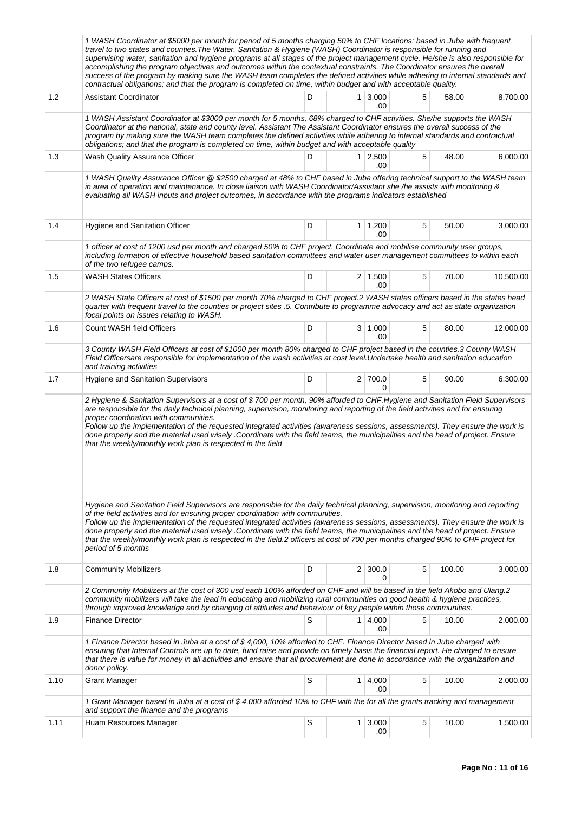|      | 1 WASH Coordinator at \$5000 per month for period of 5 months charging 50% to CHF locations: based in Juba with frequent<br>travel to two states and counties. The Water, Sanitation & Hygiene (WASH) Coordinator is responsible for running and<br>supervising water, sanitation and hygiene programs at all stages of the project management cycle. He/she is also responsible for<br>accomplishing the program objectives and outcomes within the contextual constraints. The Coordinator ensures the overall<br>success of the program by making sure the WASH team completes the defined activities while adhering to internal standards and<br>contractual obligations; and that the program is completed on time, within budget and with acceptable quality.                                                                                                                                                                                                                                                                                                                                                                                               |   |                |                            |   |        |           |  |  |  |  |
|------|-------------------------------------------------------------------------------------------------------------------------------------------------------------------------------------------------------------------------------------------------------------------------------------------------------------------------------------------------------------------------------------------------------------------------------------------------------------------------------------------------------------------------------------------------------------------------------------------------------------------------------------------------------------------------------------------------------------------------------------------------------------------------------------------------------------------------------------------------------------------------------------------------------------------------------------------------------------------------------------------------------------------------------------------------------------------------------------------------------------------------------------------------------------------|---|----------------|----------------------------|---|--------|-----------|--|--|--|--|
| 1.2  | <b>Assistant Coordinator</b>                                                                                                                                                                                                                                                                                                                                                                                                                                                                                                                                                                                                                                                                                                                                                                                                                                                                                                                                                                                                                                                                                                                                      | D | 1 <sup>1</sup> | 3,000<br>.00               | 5 | 58.00  | 8,700.00  |  |  |  |  |
|      | 1 WASH Assistant Coordinator at \$3000 per month for 5 months, 68% charged to CHF activities. She/he supports the WASH<br>Coordinator at the national, state and county level. Assistant The Assistant Coordinator ensures the overall success of the<br>program by making sure the WASH team completes the defined activities while adhering to internal standards and contractual<br>obligations; and that the program is completed on time, within budget and with acceptable quality                                                                                                                                                                                                                                                                                                                                                                                                                                                                                                                                                                                                                                                                          |   |                |                            |   |        |           |  |  |  |  |
| 1.3  | Wash Quality Assurance Officer                                                                                                                                                                                                                                                                                                                                                                                                                                                                                                                                                                                                                                                                                                                                                                                                                                                                                                                                                                                                                                                                                                                                    | D | 1 <sup>1</sup> | 2,500<br>.00               | 5 | 48.00  | 6,000.00  |  |  |  |  |
|      | 1 WASH Quality Assurance Officer @ \$2500 charged at 48% to CHF based in Juba offering technical support to the WASH team<br>in area of operation and maintenance. In close liaison with WASH Coordinator/Assistant she /he assists with monitoring &<br>evaluating all WASH inputs and project outcomes, in accordance with the programs indicators established                                                                                                                                                                                                                                                                                                                                                                                                                                                                                                                                                                                                                                                                                                                                                                                                  |   |                |                            |   |        |           |  |  |  |  |
| 1.4  | Hygiene and Sanitation Officer                                                                                                                                                                                                                                                                                                                                                                                                                                                                                                                                                                                                                                                                                                                                                                                                                                                                                                                                                                                                                                                                                                                                    | D |                | $1 \mid 1,200$<br>.00      | 5 | 50.00  | 3,000.00  |  |  |  |  |
|      | 1 officer at cost of 1200 usd per month and charged 50% to CHF project. Coordinate and mobilise community user groups,<br>including formation of effective household based sanitation committees and water user management committees to within each<br>of the two refugee camps.                                                                                                                                                                                                                                                                                                                                                                                                                                                                                                                                                                                                                                                                                                                                                                                                                                                                                 |   |                |                            |   |        |           |  |  |  |  |
| 1.5  | <b>WASH States Officers</b>                                                                                                                                                                                                                                                                                                                                                                                                                                                                                                                                                                                                                                                                                                                                                                                                                                                                                                                                                                                                                                                                                                                                       | D |                | $2 \mid 1,500$<br>.00      | 5 | 70.00  | 10,500.00 |  |  |  |  |
|      | 2 WASH State Officers at cost of \$1500 per month 70% charged to CHF project.2 WASH states officers based in the states head<br>quarter with frequent travel to the counties or project sites .5. Contribute to programme advocacy and act as state organization<br>focal points on issues relating to WASH.                                                                                                                                                                                                                                                                                                                                                                                                                                                                                                                                                                                                                                                                                                                                                                                                                                                      |   |                |                            |   |        |           |  |  |  |  |
| 1.6  | Count WASH field Officers                                                                                                                                                                                                                                                                                                                                                                                                                                                                                                                                                                                                                                                                                                                                                                                                                                                                                                                                                                                                                                                                                                                                         | D |                | 3   1,000<br>.00           | 5 | 80.00  | 12,000.00 |  |  |  |  |
|      | 3 County WASH Field Officers at cost of \$1000 per month 80% charged to CHF project based in the counties.3 County WASH<br>Field Officersare responsible for implementation of the wash activities at cost level. Undertake health and sanitation education<br>and training activities                                                                                                                                                                                                                                                                                                                                                                                                                                                                                                                                                                                                                                                                                                                                                                                                                                                                            |   |                |                            |   |        |           |  |  |  |  |
| 1.7  | Hygiene and Sanitation Supervisors                                                                                                                                                                                                                                                                                                                                                                                                                                                                                                                                                                                                                                                                                                                                                                                                                                                                                                                                                                                                                                                                                                                                | D |                | 2 700.0<br>0               | 5 | 90.00  | 6,300.00  |  |  |  |  |
|      | are responsible for the daily technical planning, supervision, monitoring and reporting of the field activities and for ensuring<br>proper coordination with communities.<br>Follow up the implementation of the requested integrated activities (awareness sessions, assessments). They ensure the work is<br>done properly and the material used wisely .Coordinate with the field teams, the municipalities and the head of project. Ensure<br>that the weekly/monthly work plan is respected in the field<br>Hygiene and Sanitation Field Supervisors are responsible for the daily technical planning, supervision, monitoring and reporting<br>of the field activities and for ensuring proper coordination with communities.<br>Follow up the implementation of the requested integrated activities (awareness sessions, assessments). They ensure the work is<br>done properly and the material used wisely .Coordinate with the field teams, the municipalities and the head of project. Ensure<br>that the weekly/monthly work plan is respected in the field.2 officers at cost of 700 per months charged 90% to CHF project for<br>period of 5 months |   |                |                            |   |        |           |  |  |  |  |
| 1.8  | <b>Community Mobilizers</b>                                                                                                                                                                                                                                                                                                                                                                                                                                                                                                                                                                                                                                                                                                                                                                                                                                                                                                                                                                                                                                                                                                                                       | D |                | $2 \mid 300.0$<br>0        | 5 | 100.00 | 3,000.00  |  |  |  |  |
|      | 2. Community Mobilizers at the cost of 300 usd each 100% afforded on CHF and will be based in the field Akobo and Ulang.2<br>community mobilizers will take the lead in educating and mobilizing rural communities on good health & hygiene practices,<br>through improved knowledge and by changing of attitudes and behaviour of key people within those communities.                                                                                                                                                                                                                                                                                                                                                                                                                                                                                                                                                                                                                                                                                                                                                                                           |   |                |                            |   |        |           |  |  |  |  |
| 1.9  | <b>Finance Director</b>                                                                                                                                                                                                                                                                                                                                                                                                                                                                                                                                                                                                                                                                                                                                                                                                                                                                                                                                                                                                                                                                                                                                           | S |                | $1 \mid 4,000 \mid$<br>.00 | 5 | 10.00  | 2,000.00  |  |  |  |  |
|      | 1 Finance Director based in Juba at a cost of \$4,000, 10% afforded to CHF. Finance Director based in Juba charged with<br>ensuring that Internal Controls are up to date, fund raise and provide on timely basis the financial report. He charged to ensure<br>that there is value for money in all activities and ensure that all procurement are done in accordance with the organization and<br>donor policy.                                                                                                                                                                                                                                                                                                                                                                                                                                                                                                                                                                                                                                                                                                                                                 |   |                |                            |   |        |           |  |  |  |  |
| 1.10 | <b>Grant Manager</b>                                                                                                                                                                                                                                                                                                                                                                                                                                                                                                                                                                                                                                                                                                                                                                                                                                                                                                                                                                                                                                                                                                                                              | S | 1 <sup>1</sup> | 4,000<br>.00               | 5 | 10.00  | 2,000.00  |  |  |  |  |
|      | 1 Grant Manager based in Juba at a cost of \$4,000 afforded 10% to CHF with the for all the grants tracking and management<br>and support the finance and the programs                                                                                                                                                                                                                                                                                                                                                                                                                                                                                                                                                                                                                                                                                                                                                                                                                                                                                                                                                                                            |   |                |                            |   |        |           |  |  |  |  |
| 1.11 | Huam Resources Manager                                                                                                                                                                                                                                                                                                                                                                                                                                                                                                                                                                                                                                                                                                                                                                                                                                                                                                                                                                                                                                                                                                                                            | S |                | $1 \mid 3,000$<br>.00      | 5 | 10.00  | 1,500.00  |  |  |  |  |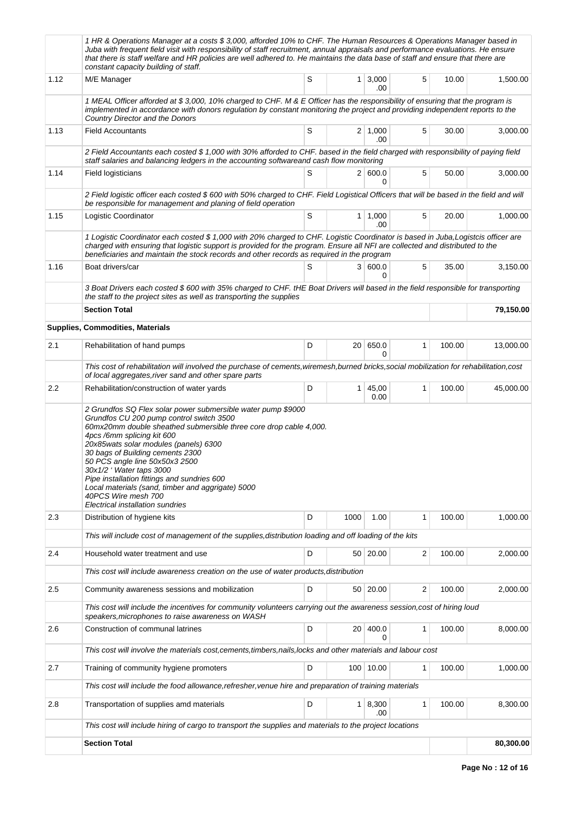|         | 1 HR & Operations Manager at a costs \$ 3,000, afforded 10% to CHF. The Human Resources & Operations Manager based in<br>Juba with frequent field visit with responsibility of staff recruitment, annual appraisals and performance evaluations. He ensure<br>that there is staff welfare and HR policies are well adhered to. He maintains the data base of staff and ensure that there are<br>constant capacity building of staff.                                                                                 |                                   |                 |                       |                         |        |           |  |  |  |
|---------|----------------------------------------------------------------------------------------------------------------------------------------------------------------------------------------------------------------------------------------------------------------------------------------------------------------------------------------------------------------------------------------------------------------------------------------------------------------------------------------------------------------------|-----------------------------------|-----------------|-----------------------|-------------------------|--------|-----------|--|--|--|
| 1.12    | M/E Manager                                                                                                                                                                                                                                                                                                                                                                                                                                                                                                          | S                                 |                 | $1 \mid 3,000$<br>.00 | 5                       | 10.00  | 1,500.00  |  |  |  |
|         | 1 MEAL Officer afforded at \$3,000, 10% charged to CHF. M & E Officer has the responsibility of ensuring that the program is<br>implemented in accordance with donors regulation by constant monitoring the project and providing independent reports to the<br>Country Director and the Donors                                                                                                                                                                                                                      |                                   |                 |                       |                         |        |           |  |  |  |
| 1.13    | <b>Field Accountants</b>                                                                                                                                                                                                                                                                                                                                                                                                                                                                                             | S                                 |                 | $2 \mid 1,000$<br>.00 | 5                       | 30.00  | 3,000.00  |  |  |  |
|         | 2 Field Accountants each costed \$ 1,000 with 30% afforded to CHF. based in the field charged with responsibility of paying field<br>staff salaries and balancing ledgers in the accounting softwareand cash flow monitoring                                                                                                                                                                                                                                                                                         |                                   |                 |                       |                         |        |           |  |  |  |
| 1.14    | Field logisticians                                                                                                                                                                                                                                                                                                                                                                                                                                                                                                   | S<br>2   600.0<br>5<br>50.00<br>0 |                 |                       |                         |        |           |  |  |  |
|         | 2 Field logistic officer each costed \$600 with 50% charged to CHF. Field Logistical Officers that will be based in the field and will<br>be responsible for management and planing of field operation                                                                                                                                                                                                                                                                                                               |                                   |                 |                       |                         |        |           |  |  |  |
| 1.15    | Logistic Coordinator                                                                                                                                                                                                                                                                                                                                                                                                                                                                                                 | $\mathbb S$                       |                 | $1 \mid 1,000$<br>.00 | 5                       | 20.00  | 1,000.00  |  |  |  |
|         | 1 Logistic Coordinator each costed \$1,000 with 20% charged to CHF. Logistic Coordinator is based in Juba,Logistcis officer are<br>charged with ensuring that logistic support is provided for the program. Ensure all NFI are collected and distributed to the<br>beneficiaries and maintain the stock records and other records as required in the program                                                                                                                                                         |                                   |                 |                       |                         |        |           |  |  |  |
| 1.16    | Boat drivers/car                                                                                                                                                                                                                                                                                                                                                                                                                                                                                                     | S                                 |                 | 3   600.0<br>0        | 5                       | 35.00  | 3,150.00  |  |  |  |
|         | 3 Boat Drivers each costed \$600 with 35% charged to CHF. tHE Boat Drivers will based in the field responsible for transporting<br>the staff to the project sites as well as transporting the supplies                                                                                                                                                                                                                                                                                                               |                                   |                 |                       |                         |        |           |  |  |  |
|         | <b>Section Total</b>                                                                                                                                                                                                                                                                                                                                                                                                                                                                                                 |                                   |                 |                       |                         |        | 79,150.00 |  |  |  |
|         | <b>Supplies, Commodities, Materials</b>                                                                                                                                                                                                                                                                                                                                                                                                                                                                              |                                   |                 |                       |                         |        |           |  |  |  |
| 2.1     | Rehabilitation of hand pumps                                                                                                                                                                                                                                                                                                                                                                                                                                                                                         | D                                 | 20 <sup>1</sup> | 650.0<br>0            | 1                       | 100.00 | 13,000.00 |  |  |  |
|         | This cost of rehabilitation will involved the purchase of cements, wiremesh, burned bricks, social mobilization for rehabilitation, cost<br>of local aggregates, river sand and other spare parts                                                                                                                                                                                                                                                                                                                    |                                   |                 |                       |                         |        |           |  |  |  |
| 2.2     | Rehabilitation/construction of water yards                                                                                                                                                                                                                                                                                                                                                                                                                                                                           | D                                 | 1 <sup>1</sup>  | 45,00<br>0.00         | 1                       | 100.00 | 45,000.00 |  |  |  |
|         | 2 Grundfos SQ Flex solar power submersible water pump \$9000<br>Grundfos CU 200 pump control switch 3500<br>60mx20mm double sheathed submersible three core drop cable 4,000.<br>4pcs /6mm splicing kit 600<br>20x85wats solar modules (panels) 6300<br>30 bags of Building cements 2300<br>50 PCS angle line 50x50x3 2500<br>30x1/2 'Water taps 3000<br>Pipe installation fittings and sundries 600<br>Local materials (sand, timber and aggrigate) 5000<br>40PCS Wire mesh 700<br>Electrical installation sundries |                                   |                 |                       |                         |        |           |  |  |  |
| 2.3     | Distribution of hygiene kits                                                                                                                                                                                                                                                                                                                                                                                                                                                                                         | D                                 | 1000            | 1.00                  | 1                       | 100.00 | 1,000.00  |  |  |  |
|         | This will include cost of management of the supplies, distribution loading and off loading of the kits                                                                                                                                                                                                                                                                                                                                                                                                               |                                   |                 |                       |                         |        |           |  |  |  |
| 2.4     | Household water treatment and use                                                                                                                                                                                                                                                                                                                                                                                                                                                                                    | D                                 |                 | 50 20.00              | $\overline{\mathbf{c}}$ | 100.00 | 2,000.00  |  |  |  |
|         | This cost will include awareness creation on the use of water products, distribution                                                                                                                                                                                                                                                                                                                                                                                                                                 |                                   |                 |                       |                         |        |           |  |  |  |
| 2.5     | Community awareness sessions and mobilization                                                                                                                                                                                                                                                                                                                                                                                                                                                                        | D                                 | 50 <sup>1</sup> | 20.00                 | 2                       | 100.00 | 2,000.00  |  |  |  |
|         | This cost will include the incentives for community volunteers carrying out the awareness session, cost of hiring loud<br>speakers, microphones to raise awareness on WASH                                                                                                                                                                                                                                                                                                                                           |                                   |                 |                       |                         |        |           |  |  |  |
| $2.6\,$ | Construction of communal latrines                                                                                                                                                                                                                                                                                                                                                                                                                                                                                    | D                                 | 20 <sup>1</sup> | 400.0<br>0            | 1                       | 100.00 | 8,000.00  |  |  |  |
|         | This cost will involve the materials cost,cements,timbers,nails,locks and other materials and labour cost                                                                                                                                                                                                                                                                                                                                                                                                            |                                   |                 |                       |                         |        |           |  |  |  |
| 2.7     | Training of community hygiene promoters                                                                                                                                                                                                                                                                                                                                                                                                                                                                              | D                                 |                 | 100 10.00             | 1                       | 100.00 | 1,000.00  |  |  |  |
|         | This cost will include the food allowance, refresher, venue hire and preparation of training materials                                                                                                                                                                                                                                                                                                                                                                                                               |                                   |                 |                       |                         |        |           |  |  |  |
| $2.8\,$ | Transportation of supplies amd materials                                                                                                                                                                                                                                                                                                                                                                                                                                                                             | D                                 |                 | 1   8,300<br>.00      | 1                       | 100.00 | 8,300.00  |  |  |  |
|         | This cost will include hiring of cargo to transport the supplies and materials to the project locations                                                                                                                                                                                                                                                                                                                                                                                                              |                                   |                 |                       |                         |        |           |  |  |  |
|         | <b>Section Total</b>                                                                                                                                                                                                                                                                                                                                                                                                                                                                                                 |                                   |                 |                       |                         |        | 80,300.00 |  |  |  |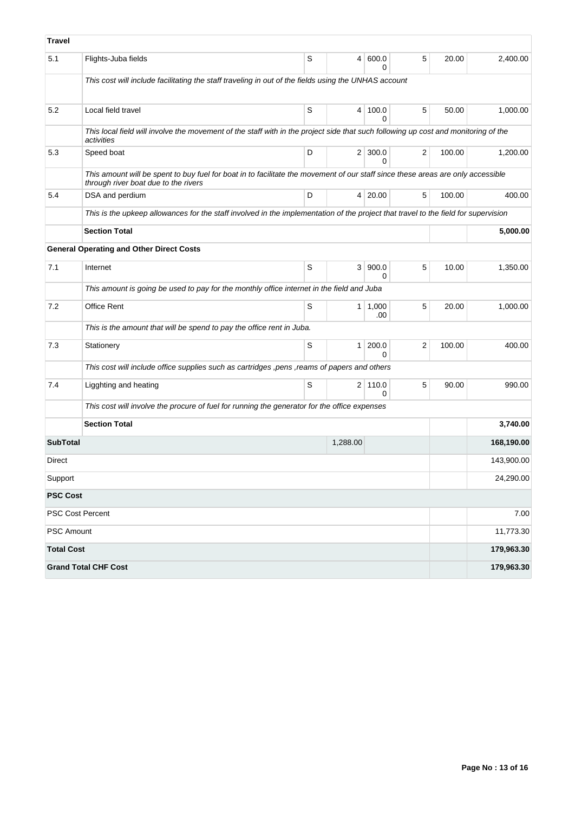| Travel            |                                                                                                                                                                         |   |                 |                                |   |        |            |
|-------------------|-------------------------------------------------------------------------------------------------------------------------------------------------------------------------|---|-----------------|--------------------------------|---|--------|------------|
| 5.1               | Flights-Juba fields                                                                                                                                                     | S | $\vert 4 \vert$ | 600.0<br>U                     | 5 | 20.00  | 2,400.00   |
|                   | This cost will include facilitating the staff traveling in out of the fields using the UNHAS account                                                                    |   |                 |                                |   |        |            |
| 5.2               | Local field travel                                                                                                                                                      | S | 4               | 100.0<br>0                     | 5 | 50.00  | 1,000.00   |
|                   | This local field will involve the movement of the staff with in the project side that such following up cost and monitoring of the<br>activities                        |   |                 |                                |   |        |            |
| 5.3               | Speed boat                                                                                                                                                              | D |                 | $2 \mid 300.0$<br><sup>0</sup> | 2 | 100.00 | 1,200.00   |
|                   | This amount will be spent to buy fuel for boat in to facilitate the movement of our staff since these areas are only accessible<br>through river boat due to the rivers |   |                 |                                |   |        |            |
| 5.4               | DSA and perdium                                                                                                                                                         | D |                 | 4 20.00                        | 5 | 100.00 | 400.00     |
|                   | This is the upkeep allowances for the staff involved in the implementation of the project that travel to the field for supervision                                      |   |                 |                                |   |        |            |
|                   | <b>Section Total</b>                                                                                                                                                    |   |                 |                                |   |        | 5,000.00   |
|                   | <b>General Operating and Other Direct Costs</b>                                                                                                                         |   |                 |                                |   |        |            |
| 7.1               | Internet                                                                                                                                                                | S | 3 <sup>1</sup>  | 900.0<br>$\Omega$              | 5 | 10.00  | 1,350.00   |
|                   | This amount is going be used to pay for the monthly office internet in the field and Juba                                                                               |   |                 |                                |   |        |            |
| 7.2               | Office Rent                                                                                                                                                             | S | 1 <sup>1</sup>  | 1,000<br>.00                   | 5 | 20.00  | 1,000.00   |
|                   | This is the amount that will be spend to pay the office rent in Juba.                                                                                                   |   |                 |                                |   |        |            |
| 7.3               | Stationery                                                                                                                                                              | S | 1 <sup>1</sup>  | 200.0<br>0                     | 2 | 100.00 | 400.00     |
|                   | This cost will include office supplies such as cartridges , pens , reams of papers and others                                                                           |   |                 |                                |   |        |            |
| 7.4               | Ligghting and heating                                                                                                                                                   | S |                 | $2$ 110.0<br>$\Omega$          | 5 | 90.00  | 990.00     |
|                   | This cost will involve the procure of fuel for running the generator for the office expenses                                                                            |   |                 |                                |   |        |            |
|                   | <b>Section Total</b>                                                                                                                                                    |   |                 |                                |   |        | 3,740.00   |
| <b>SubTotal</b>   |                                                                                                                                                                         |   | 1,288.00        |                                |   |        | 168,190.00 |
| Direct            |                                                                                                                                                                         |   |                 |                                |   |        | 143,900.00 |
| Support           |                                                                                                                                                                         |   |                 |                                |   |        | 24,290.00  |
| <b>PSC Cost</b>   |                                                                                                                                                                         |   |                 |                                |   |        |            |
|                   | PSC Cost Percent                                                                                                                                                        |   |                 |                                |   |        | 7.00       |
| PSC Amount        |                                                                                                                                                                         |   |                 |                                |   |        | 11,773.30  |
| <b>Total Cost</b> |                                                                                                                                                                         |   |                 |                                |   |        | 179,963.30 |
|                   | <b>Grand Total CHF Cost</b>                                                                                                                                             |   |                 |                                |   |        | 179,963.30 |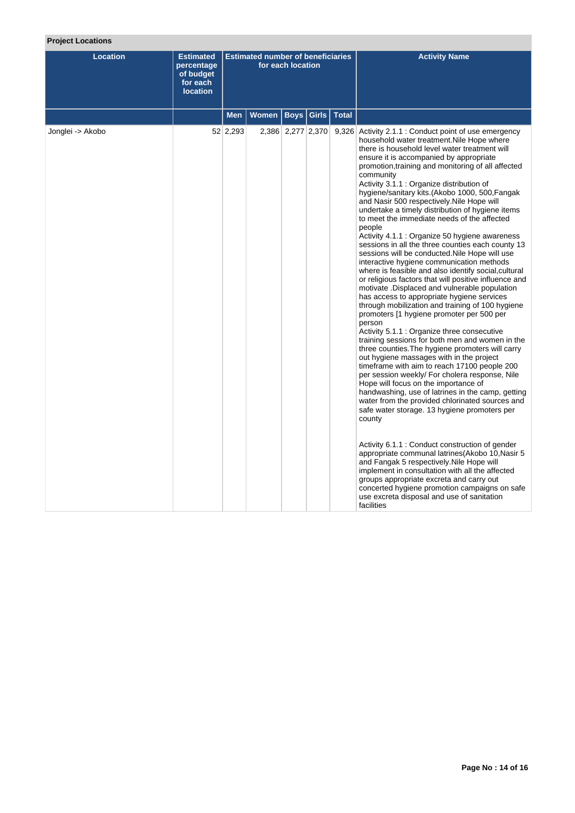# **Project Locations**

| <b>Location</b>  | <b>Estimated</b><br>percentage<br>of budget<br>for each<br><b>location</b> |            | <b>Estimated number of beneficiaries</b> | for each location |  | <b>Activity Name</b>                                                                                                                                                                                                                                                                                                                                                                                                                                                                                                                                                                                                                                                                                                                                                                                                                                                                                                                                                                                                                                                                                                                                                                                                                                                                                                                                                                                                                                                                                                                                                                                                                                                                                                                                                                                                                                                                                                                        |
|------------------|----------------------------------------------------------------------------|------------|------------------------------------------|-------------------|--|---------------------------------------------------------------------------------------------------------------------------------------------------------------------------------------------------------------------------------------------------------------------------------------------------------------------------------------------------------------------------------------------------------------------------------------------------------------------------------------------------------------------------------------------------------------------------------------------------------------------------------------------------------------------------------------------------------------------------------------------------------------------------------------------------------------------------------------------------------------------------------------------------------------------------------------------------------------------------------------------------------------------------------------------------------------------------------------------------------------------------------------------------------------------------------------------------------------------------------------------------------------------------------------------------------------------------------------------------------------------------------------------------------------------------------------------------------------------------------------------------------------------------------------------------------------------------------------------------------------------------------------------------------------------------------------------------------------------------------------------------------------------------------------------------------------------------------------------------------------------------------------------------------------------------------------------|
|                  |                                                                            | <b>Men</b> | Women   Boys   Girls   Total             |                   |  |                                                                                                                                                                                                                                                                                                                                                                                                                                                                                                                                                                                                                                                                                                                                                                                                                                                                                                                                                                                                                                                                                                                                                                                                                                                                                                                                                                                                                                                                                                                                                                                                                                                                                                                                                                                                                                                                                                                                             |
| Jonglei -> Akobo |                                                                            | 52 2,293   |                                          | 2,386 2,277 2,370 |  | 9,326 Activity 2.1.1 : Conduct point of use emergency<br>household water treatment. Nile Hope where<br>there is household level water treatment will<br>ensure it is accompanied by appropriate<br>promotion, training and monitoring of all affected<br>community<br>Activity 3.1.1 : Organize distribution of<br>hygiene/sanitary kits.(Akobo 1000, 500, Fangak<br>and Nasir 500 respectively. Nile Hope will<br>undertake a timely distribution of hygiene items<br>to meet the immediate needs of the affected<br>people<br>Activity 4.1.1 : Organize 50 hygiene awareness<br>sessions in all the three counties each county 13<br>sessions will be conducted. Nile Hope will use<br>interactive hygiene communication methods<br>where is feasible and also identify social, cultural<br>or religious factors that will positive influence and<br>motivate .Displaced and vulnerable population<br>has access to appropriate hygiene services<br>through mobilization and training of 100 hygiene<br>promoters [1 hygiene promoter per 500 per<br>person<br>Activity 5.1.1 : Organize three consecutive<br>training sessions for both men and women in the<br>three counties. The hygiene promoters will carry<br>out hygiene massages with in the project<br>timeframe with aim to reach 17100 people 200<br>per session weekly/ For cholera response, Nile<br>Hope will focus on the importance of<br>handwashing, use of latrines in the camp, getting<br>water from the provided chlorinated sources and<br>safe water storage. 13 hygiene promoters per<br>county<br>Activity 6.1.1 : Conduct construction of gender<br>appropriate communal latrines (Akobo 10, Nasir 5<br>and Fangak 5 respectively. Nile Hope will<br>implement in consultation with all the affected<br>groups appropriate excreta and carry out<br>concerted hygiene promotion campaigns on safe<br>use excreta disposal and use of sanitation<br>facilities |